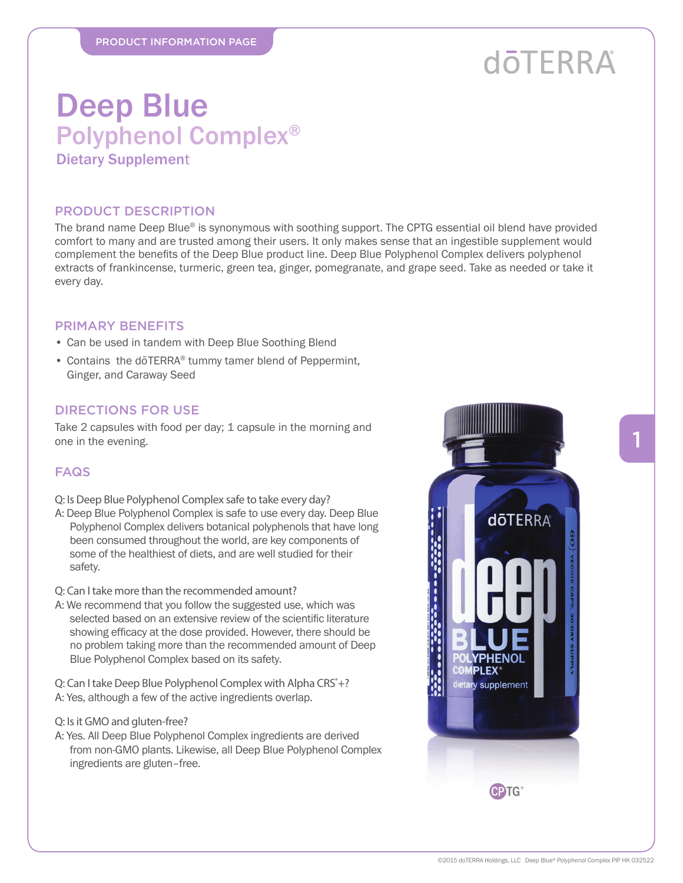## **döTERRA**

### Deep Blue Polyphenol Complex® Dietary Supplement

#### PRODUCT DESCRIPTION

The brand name Deep Blue® is synonymous with soothing support. The CPTG essential oil blend have provided comfort to many and are trusted among their users. It only makes sense that an ingestible supplement would complement the benefits of the Deep Blue product line. Deep Blue Polyphenol Complex delivers polyphenol extracts of frankincense, turmeric, green tea, ginger, pomegranate, and grape seed. Take as needed or take it every day.

#### PRIMARY BENEFITS

- Can be used in tandem with Deep Blue Soothing Blend
- Contains the doTERRA® tummy tamer blend of Peppermint, Ginger, and Caraway Seed

#### DIRECTIONS FOR USE

Take 2 capsules with food per day; 1 capsule in the morning and one in the evening.

#### **FAQS**

- Q: Is Deep Blue Polyphenol Complex safe to take every day?
- A: Deep Blue Polyphenol Complex is safe to use every day. Deep Blue Polyphenol Complex delivers botanical polyphenols that have long been consumed throughout the world, are key components of some of the healthiest of diets, and are well studied for their safety.

Q: Can I take more than the recommended amount?

A: We recommend that you follow the suggested use, which was selected based on an extensive review of the scientific literature showing efficacy at the dose provided. However, there should be no problem taking more than the recommended amount of Deep Blue Polyphenol Complex based on its safety.

Q: Can I take Deep Blue Polyphenol Complex with Alpha CRS<sup>®</sup>+? A: Yes, although a few of the active ingredients overlap.

- Q: Is it GMO and gluten-free?
- A: Yes. All Deep Blue Polyphenol Complex ingredients are derived from non-GMO plants. Likewise, all Deep Blue Polyphenol Complex ingredients are gluten–free.